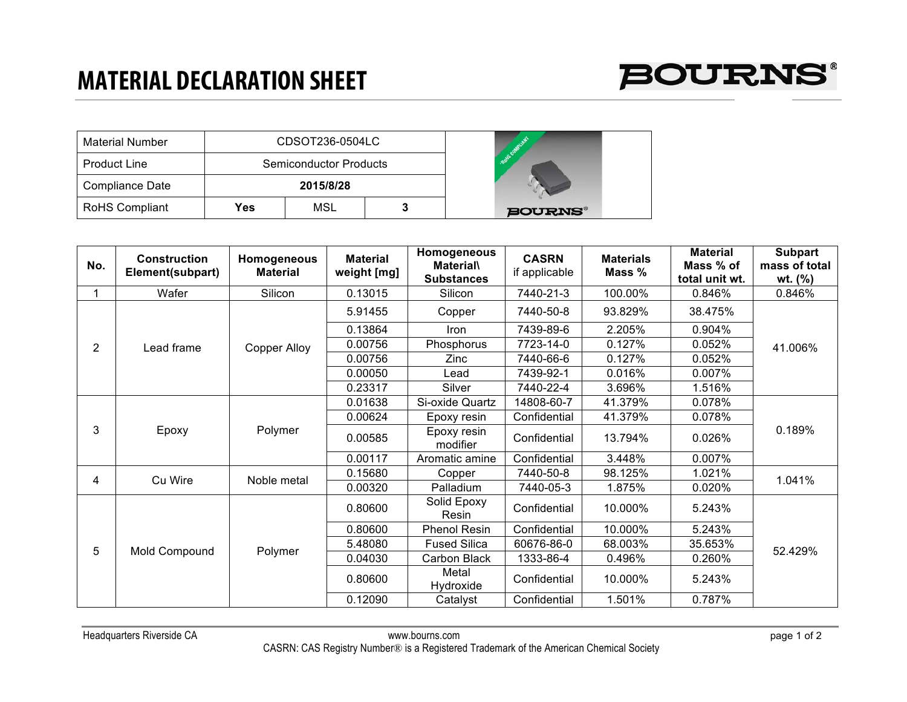## **MATERIAL DECLARATION SHEET**



| <b>Material Number</b> |            | CDSOT236-0504LC               |            |               |
|------------------------|------------|-------------------------------|------------|---------------|
| <b>Product Line</b>    |            | <b>Semiconductor Products</b> | <b>ROW</b> |               |
| Compliance Date        |            | 2015/8/28                     |            |               |
| <b>RoHS Compliant</b>  | <b>Yes</b> | MSL                           |            | <b>BOURNS</b> |

| No. | <b>Construction</b><br>Element(subpart) | Homogeneous<br><b>Material</b> | <b>Material</b><br>weight [mg] | Homogeneous<br><b>Material\</b><br><b>Substances</b> | <b>CASRN</b><br>if applicable | <b>Materials</b><br>Mass % | <b>Material</b><br>Mass % of<br>total unit wt. | <b>Subpart</b><br>mass of total<br>wt. $(\% )$ |
|-----|-----------------------------------------|--------------------------------|--------------------------------|------------------------------------------------------|-------------------------------|----------------------------|------------------------------------------------|------------------------------------------------|
|     | Wafer                                   | Silicon                        | 0.13015                        | Silicon                                              | 7440-21-3                     | 100.00%                    | 0.846%                                         | 0.846%                                         |
| 2   | Lead frame                              | Copper Alloy                   | 5.91455                        | Copper                                               | 7440-50-8                     | 93.829%                    | 38.475%                                        | 41.006%                                        |
|     |                                         |                                | 0.13864                        | <b>Iron</b>                                          | 7439-89-6                     | 2.205%                     | $0.904\%$                                      |                                                |
|     |                                         |                                | 0.00756                        | Phosphorus                                           | 7723-14-0                     | 0.127%                     | $0.052\%$                                      |                                                |
|     |                                         |                                | 0.00756                        | Zinc                                                 | 7440-66-6                     | 0.127%                     | 0.052%                                         |                                                |
|     |                                         |                                | 0.00050                        | Lead                                                 | 7439-92-1                     | 0.016%                     | 0.007%                                         |                                                |
|     |                                         |                                | 0.23317                        | Silver                                               | 7440-22-4                     | 3.696%                     | 1.516%                                         |                                                |
| 3   | Epoxy                                   | Polymer                        | 0.01638                        | Si-oxide Quartz                                      | 14808-60-7                    | 41.379%                    | 0.078%                                         | 0.189%                                         |
|     |                                         |                                | 0.00624                        | Epoxy resin                                          | Confidential                  | 41.379%                    | 0.078%                                         |                                                |
|     |                                         |                                | 0.00585                        | Epoxy resin<br>modifier                              | Confidential                  | 13.794%                    | 0.026%                                         |                                                |
|     |                                         |                                | 0.00117                        | Aromatic amine                                       | Confidential                  | 3.448%                     | 0.007%                                         |                                                |
|     | Cu Wire                                 | Noble metal                    | 0.15680                        | Copper                                               | 7440-50-8                     | 98.125%                    | 1.021%                                         | 1.041%                                         |
| 4   |                                         |                                | 0.00320                        | Palladium                                            | 7440-05-3                     | 1.875%                     | 0.020%                                         |                                                |
| 5   | Mold Compound                           | Polymer                        | 0.80600                        | Solid Epoxy<br>Resin                                 | Confidential                  | 10.000%                    | 5.243%                                         | 52.429%                                        |
|     |                                         |                                | 0.80600                        | Phenol Resin                                         | Confidential                  | 10.000%                    | 5.243%                                         |                                                |
|     |                                         |                                | 5.48080                        | <b>Fused Silica</b>                                  | 60676-86-0                    | 68.003%                    | 35.653%                                        |                                                |
|     |                                         |                                | 0.04030                        | Carbon Black                                         | 1333-86-4                     | 0.496%                     | $0.260\%$                                      |                                                |
|     |                                         |                                | 0.80600                        | Metal<br>Hydroxide                                   | Confidential                  | 10.000%                    | 5.243%                                         |                                                |
|     |                                         |                                | 0.12090                        | Catalyst                                             | Confidential                  | 1.501%                     | 0.787%                                         |                                                |